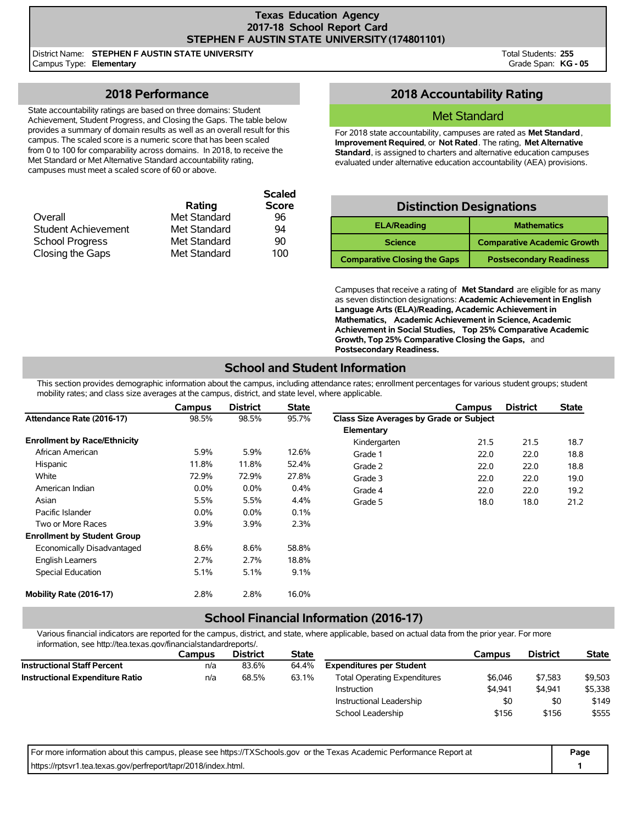#### **Texas Education Agency 2017-18 School Report Card STEPHEN F AUSTIN STATE UNIVERSITY(174801101)**

District Name: **STEPHEN F AUSTIN STATE UNIVERSITY** Campus Type: **Elementary**

Total Students: **255** Grade Span: **KG - 05**

## **2018 Performance**

State accountability ratings are based on three domains: Student Achievement, Student Progress, and Closing the Gaps. The table below provides a summary of domain results as well as an overall result for this campus. The scaled score is a numeric score that has been scaled from 0 to 100 for comparability across domains. In 2018, to receive the Met Standard or Met Alternative Standard accountability rating, campuses must meet a scaled score of 60 or above.

|                            |              | <b>Scaled</b> |
|----------------------------|--------------|---------------|
|                            | Rating       | <b>Score</b>  |
| Overall                    | Met Standard | 96            |
| <b>Student Achievement</b> | Met Standard | 94            |
| <b>School Progress</b>     | Met Standard | 90            |
| Closing the Gaps           | Met Standard | 100           |

## **2018 Accountability Rating**

### Met Standard

For 2018 state accountability, campuses are rated as **Met Standard**, **Improvement Required**, or **Not Rated**. The rating, **Met Alternative Standard**, is assigned to charters and alternative education campuses evaluated under alternative education accountability (AEA) provisions.

## **Distinction Designations**

| <b>ELA/Reading</b>                  | <b>Mathematics</b>                 |
|-------------------------------------|------------------------------------|
| <b>Science</b>                      | <b>Comparative Academic Growth</b> |
| <b>Comparative Closing the Gaps</b> | <b>Postsecondary Readiness</b>     |

Campuses that receive a rating of **Met Standard** are eligible for as many as seven distinction designations: **Academic Achievement in English Language Arts (ELA)/Reading, Academic Achievement in Mathematics, Academic Achievement in Science, Academic Achievement in Social Studies, Top 25% Comparative Academic Growth, Top 25% Comparative Closing the Gaps,** and **Postsecondary Readiness.**

# **School and Student Information**

This section provides demographic information about the campus, including attendance rates; enrollment percentages for various student groups; student mobility rates; and class size averages at the campus, district, and state level, where applicable.

|                                     | <b>Campus</b> | <b>District</b> | <b>State</b> |                                         | Campus | <b>District</b> | <b>State</b> |
|-------------------------------------|---------------|-----------------|--------------|-----------------------------------------|--------|-----------------|--------------|
| Attendance Rate (2016-17)           | 98.5%         | 98.5%           | 95.7%        | Class Size Averages by Grade or Subject |        |                 |              |
|                                     |               |                 |              | Elementary                              |        |                 |              |
| <b>Enrollment by Race/Ethnicity</b> |               |                 |              | Kindergarten                            | 21.5   | 21.5            | 18.7         |
| African American                    | 5.9%          | 5.9%            | 12.6%        | Grade 1                                 | 22.0   | 22.0            | 18.8         |
| Hispanic                            | 11.8%         | 11.8%           | 52.4%        | Grade 2                                 | 22.0   | 22.0            | 18.8         |
| White                               | 72.9%         | 72.9%           | 27.8%        | Grade 3                                 | 22.0   | 22.0            | 19.0         |
| American Indian                     | $0.0\%$       | $0.0\%$         | 0.4%         | Grade 4                                 | 22.0   | 22.0            | 19.2         |
| Asian                               | 5.5%          | 5.5%            | 4.4%         | Grade 5                                 | 18.0   | 18.0            | 21.2         |
| Pacific Islander                    | $0.0\%$       | $0.0\%$         | 0.1%         |                                         |        |                 |              |
| Two or More Races                   | 3.9%          | 3.9%            | 2.3%         |                                         |        |                 |              |
| <b>Enrollment by Student Group</b>  |               |                 |              |                                         |        |                 |              |
| Economically Disadvantaged          | 8.6%          | 8.6%            | 58.8%        |                                         |        |                 |              |
| <b>English Learners</b>             | 2.7%          | 2.7%            | 18.8%        |                                         |        |                 |              |
| <b>Special Education</b>            | 5.1%          | 5.1%            | 9.1%         |                                         |        |                 |              |
| Mobility Rate (2016-17)             | 2.8%          | 2.8%            | 16.0%        |                                         |        |                 |              |

## **School Financial Information (2016-17)**

Various financial indicators are reported for the campus, district, and state, where applicable, based on actual data from the prior year. For more information, see http://tea.texas.gov/financialstandardreports/.

|                                        | Campus | <b>District</b> | <b>State</b> |                                     | Campus  | <b>District</b> | <b>State</b> |
|----------------------------------------|--------|-----------------|--------------|-------------------------------------|---------|-----------------|--------------|
| <b>Instructional Staff Percent</b>     | n/a    | 83.6%           | 64.4%        | <b>Expenditures per Student</b>     |         |                 |              |
| <b>Instructional Expenditure Ratio</b> | n/a    | 68.5%           | 63.1%        | <b>Total Operating Expenditures</b> | \$6,046 | \$7.583         | \$9,503      |
|                                        |        |                 |              | Instruction                         | \$4.941 | \$4.941         | \$5,338      |
|                                        |        |                 |              | Instructional Leadership            | \$0     | \$0             | \$149        |
|                                        |        |                 |              | School Leadership                   | \$156   | \$156           | \$555        |

| For more information about this campus, please see https://TXSchools.gov or the Texas Academic Performance Report at | Page |
|----------------------------------------------------------------------------------------------------------------------|------|
| https://rptsvr1.tea.texas.gov/perfreport/tapr/2018/index.html.                                                       |      |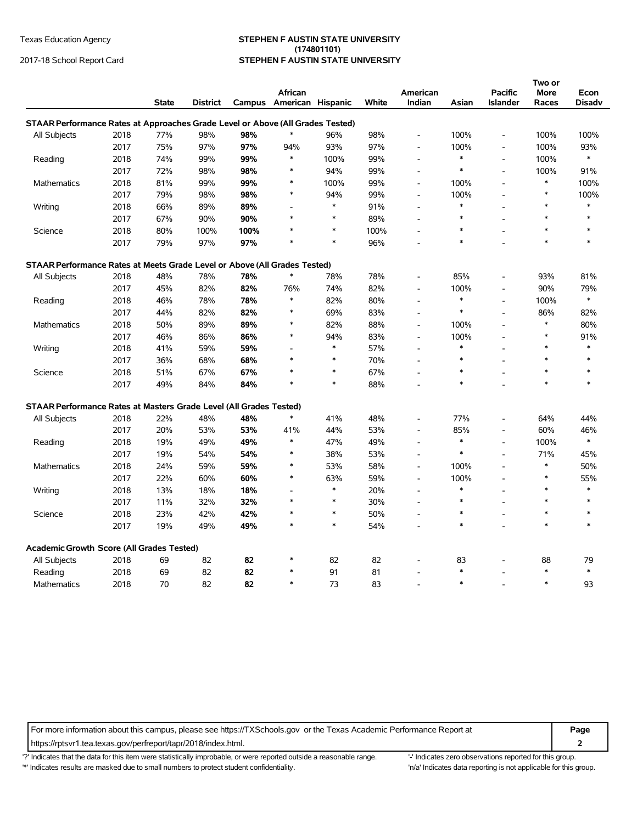#### Texas Education Agency **STEPHEN F AUSTIN STATE UNIVERSITY (174801101)** 2017-18 School Report Card **STEPHEN F AUSTIN STATE UNIVERSITY**

| African<br>American<br><b>Pacific</b><br>More<br>Econ<br>Campus American Hispanic<br>White<br>Indian<br><b>State</b><br><b>District</b><br>Asian<br><b>Islander</b><br>Disadv<br>Races<br>STAAR Performance Rates at Approaches Grade Level or Above (All Grades Tested)<br>$\ast$<br>77%<br>98%<br>98%<br>98%<br>100%<br>100%<br>100%<br>All Subjects<br>2018<br>96%<br>$\overline{\phantom{a}}$<br>97%<br>97%<br>2017<br>97%<br>93%<br>100%<br>100%<br>93%<br>75%<br>94%<br>$\overline{\phantom{a}}$<br>$\overline{\phantom{a}}$<br>$\ast$<br>99%<br>99%<br>$\ast$<br>$\ast$<br>Reading<br>2018<br>74%<br>100%<br>99%<br>100%<br>L,<br>$\overline{\phantom{a}}$<br>2017<br>72%<br>98%<br>98%<br>94%<br>99%<br>$\ast$<br>100%<br>91%<br>*<br>$\overline{\phantom{a}}$<br>$\blacksquare$<br>99%<br>100%<br>99%<br>$\ast$<br><b>Mathematics</b><br>2018<br>81%<br>99%<br>*<br>100%<br>100%<br>$\overline{a}$<br>98%<br>$\ast$<br>99%<br>100%<br>$\ast$<br>2017<br>79%<br>98%<br>94%<br>100%<br>$\overline{a}$<br>$\ast$<br>$\ast$<br>$\ast$<br>66%<br>89%<br>89%<br>91%<br>$\ast$<br>Writing<br>2018<br>$\overline{a}$<br>$\overline{a}$<br>$\ast$<br>2017<br>90%<br>90%<br>$\ast$<br>67%<br>89%<br>$\ast$<br>$\ast$<br>$\overline{a}$<br>$\ast$<br>$\ast$<br>2018<br>80%<br>100%<br>100%<br>100%<br>$\ast$<br>Science<br>$\ast$<br>$\ast$<br>$\ast$<br>$\ast$<br>$\ast$<br>$\ast$<br>2017<br>97%<br>97%<br>96%<br>$\ast$<br>79%<br>STAAR Performance Rates at Meets Grade Level or Above (All Grades Tested)<br>$\ast$<br>48%<br>85%<br>81%<br>All Subjects<br>2018<br>78%<br>78%<br>78%<br>78%<br>93%<br>82%<br>82%<br>2017<br>45%<br>76%<br>74%<br>82%<br>100%<br>90%<br>79%<br>$\overline{a}$<br>$\blacksquare$<br>$\ast$<br>$\ast$<br>$\ast$<br>78%<br>78%<br>82%<br>Reading<br>2018<br>46%<br>80%<br>100%<br>$\overline{a}$<br>$\overline{\phantom{a}}$<br>$\ast$<br>2017<br>82%<br>82%<br>69%<br>83%<br>86%<br>82%<br>44%<br>*<br>$\overline{\phantom{a}}$<br>$\ast$<br>89%<br>89%<br>$\ast$<br>82%<br>88%<br>80%<br>Mathematics<br>2018<br>50%<br>100%<br>$\overline{\phantom{a}}$<br>$\overline{\phantom{a}}$<br>86%<br>94%<br>100%<br>$\ast$<br>91%<br>2017<br>46%<br>86%<br>$\ast$<br>83%<br>$\overline{\phantom{a}}$<br>$\ast$<br>$\ast$<br>$\ast$<br>2018<br>59%<br>59%<br>57%<br>$\ast$<br>Writing<br>41%<br>$\overline{\phantom{a}}$<br>$\overline{\phantom{a}}$<br>2017<br>68%<br>$\ast$<br>70%<br>$\ast$<br>36%<br>68%<br>$\ast$<br>$\ast$<br>$\ast$<br>$\overline{a}$<br>$\ast$<br>67%<br>67%<br>$\ast$<br>$\ast$<br>2018<br>51%<br>67%<br>$\ast$<br>Science<br>$\ast$<br>$\ast$<br>2017<br>49%<br>84%<br>84%<br>$\ast$<br>88%<br>$\ast$<br>$\ast$<br>L.<br>STAAR Performance Rates at Masters Grade Level (All Grades Tested)<br>$\ast$<br>77%<br>All Subjects<br>2018<br>22%<br>48%<br>48%<br>41%<br>48%<br>64%<br>44%<br>$\overline{a}$<br>85%<br>2017<br>20%<br>53%<br>53%<br>41%<br>44%<br>53%<br>60%<br>46%<br>$\overline{a}$<br>$\overline{\phantom{m}}$<br>$\ast$<br>$\ast$<br>49%<br>49%<br>$\ast$<br>47%<br>49%<br>100%<br>Reading<br>2018<br>19%<br>$\overline{\phantom{a}}$<br>$\overline{a}$<br>54%<br>$\ast$<br>71%<br>2017<br>19%<br>54%<br>$\ast$<br>38%<br>53%<br>45%<br>$\blacksquare$<br>59%<br>$\ast$<br>2018<br>24%<br>59%<br>$\ast$<br>53%<br>58%<br>100%<br>50%<br><b>Mathematics</b><br>$\overline{\phantom{a}}$<br>60%<br>60%<br>$\ast$<br>63%<br>100%<br>55%<br>2017<br>22%<br>59%<br>$\ast$<br>$\overline{\phantom{a}}$<br>$\blacksquare$<br>$\ast$<br>$\ast$<br>$\ast$<br>2018<br>13%<br>18%<br>18%<br>20%<br>$\ast$<br>Writing<br>$\overline{a}$<br>$\ast$<br>2017<br>11%<br>32%<br>32%<br>$\ast$<br>30%<br>$\ast$<br>$\ast$<br>$\ast$<br>$\ast$<br>23%<br>42%<br>42%<br>50%<br>$\ast$<br>Science<br>2018<br>$\ast$<br>$\ast$<br>$\ast$<br>$\overline{a}$<br>$\ast$<br>$\ast$<br>$\ast$<br>$\ast$<br>2017<br>19%<br>49%<br>49%<br>54%<br>$\star$<br>Academic Growth Score (All Grades Tested)<br>82<br>82<br>82<br>82<br>83<br>88<br>All Subjects<br>2018<br>69<br>*<br>79<br>$\ast$<br>82<br>82<br>$\ast$<br>$\ast$<br>2018<br>69<br>91<br>81<br>Reading<br>70<br>82<br>82<br>$\ast$<br>73<br>$\ast$<br>$\ast$<br>93<br>2018<br>83<br>Mathematics |  |  |  |  |  |  |  |  |
|--------------------------------------------------------------------------------------------------------------------------------------------------------------------------------------------------------------------------------------------------------------------------------------------------------------------------------------------------------------------------------------------------------------------------------------------------------------------------------------------------------------------------------------------------------------------------------------------------------------------------------------------------------------------------------------------------------------------------------------------------------------------------------------------------------------------------------------------------------------------------------------------------------------------------------------------------------------------------------------------------------------------------------------------------------------------------------------------------------------------------------------------------------------------------------------------------------------------------------------------------------------------------------------------------------------------------------------------------------------------------------------------------------------------------------------------------------------------------------------------------------------------------------------------------------------------------------------------------------------------------------------------------------------------------------------------------------------------------------------------------------------------------------------------------------------------------------------------------------------------------------------------------------------------------------------------------------------------------------------------------------------------------------------------------------------------------------------------------------------------------------------------------------------------------------------------------------------------------------------------------------------------------------------------------------------------------------------------------------------------------------------------------------------------------------------------------------------------------------------------------------------------------------------------------------------------------------------------------------------------------------------------------------------------------------------------------------------------------------------------------------------------------------------------------------------------------------------------------------------------------------------------------------------------------------------------------------------------------------------------------------------------------------------------------------------------------------------------------------------------------------------------------------------------------------------------------------------------------------------------------------------------------------------------------------------------------------------------------------------------------------------------------------------------------------------------------------------------------------------------------------------------------------------------------------------------------------------------------------------------------------------------------------------------------------------------------------------------------------------------------------------------------------------------------------------------------------------------------------------------------------------------------------------------------------------------------------------------------------------------------------------------------------------------------------------------------------------------------------------------------------------------------------------------------------------------------|--|--|--|--|--|--|--|--|
|                                                                                                                                                                                                                                                                                                                                                                                                                                                                                                                                                                                                                                                                                                                                                                                                                                                                                                                                                                                                                                                                                                                                                                                                                                                                                                                                                                                                                                                                                                                                                                                                                                                                                                                                                                                                                                                                                                                                                                                                                                                                                                                                                                                                                                                                                                                                                                                                                                                                                                                                                                                                                                                                                                                                                                                                                                                                                                                                                                                                                                                                                                                                                                                                                                                                                                                                                                                                                                                                                                                                                                                                                                                                                                                                                                                                                                                                                                                                                                                                                                                                                                                                                                                                  |  |  |  |  |  |  |  |  |
|                                                                                                                                                                                                                                                                                                                                                                                                                                                                                                                                                                                                                                                                                                                                                                                                                                                                                                                                                                                                                                                                                                                                                                                                                                                                                                                                                                                                                                                                                                                                                                                                                                                                                                                                                                                                                                                                                                                                                                                                                                                                                                                                                                                                                                                                                                                                                                                                                                                                                                                                                                                                                                                                                                                                                                                                                                                                                                                                                                                                                                                                                                                                                                                                                                                                                                                                                                                                                                                                                                                                                                                                                                                                                                                                                                                                                                                                                                                                                                                                                                                                                                                                                                                                  |  |  |  |  |  |  |  |  |
|                                                                                                                                                                                                                                                                                                                                                                                                                                                                                                                                                                                                                                                                                                                                                                                                                                                                                                                                                                                                                                                                                                                                                                                                                                                                                                                                                                                                                                                                                                                                                                                                                                                                                                                                                                                                                                                                                                                                                                                                                                                                                                                                                                                                                                                                                                                                                                                                                                                                                                                                                                                                                                                                                                                                                                                                                                                                                                                                                                                                                                                                                                                                                                                                                                                                                                                                                                                                                                                                                                                                                                                                                                                                                                                                                                                                                                                                                                                                                                                                                                                                                                                                                                                                  |  |  |  |  |  |  |  |  |
|                                                                                                                                                                                                                                                                                                                                                                                                                                                                                                                                                                                                                                                                                                                                                                                                                                                                                                                                                                                                                                                                                                                                                                                                                                                                                                                                                                                                                                                                                                                                                                                                                                                                                                                                                                                                                                                                                                                                                                                                                                                                                                                                                                                                                                                                                                                                                                                                                                                                                                                                                                                                                                                                                                                                                                                                                                                                                                                                                                                                                                                                                                                                                                                                                                                                                                                                                                                                                                                                                                                                                                                                                                                                                                                                                                                                                                                                                                                                                                                                                                                                                                                                                                                                  |  |  |  |  |  |  |  |  |
|                                                                                                                                                                                                                                                                                                                                                                                                                                                                                                                                                                                                                                                                                                                                                                                                                                                                                                                                                                                                                                                                                                                                                                                                                                                                                                                                                                                                                                                                                                                                                                                                                                                                                                                                                                                                                                                                                                                                                                                                                                                                                                                                                                                                                                                                                                                                                                                                                                                                                                                                                                                                                                                                                                                                                                                                                                                                                                                                                                                                                                                                                                                                                                                                                                                                                                                                                                                                                                                                                                                                                                                                                                                                                                                                                                                                                                                                                                                                                                                                                                                                                                                                                                                                  |  |  |  |  |  |  |  |  |
|                                                                                                                                                                                                                                                                                                                                                                                                                                                                                                                                                                                                                                                                                                                                                                                                                                                                                                                                                                                                                                                                                                                                                                                                                                                                                                                                                                                                                                                                                                                                                                                                                                                                                                                                                                                                                                                                                                                                                                                                                                                                                                                                                                                                                                                                                                                                                                                                                                                                                                                                                                                                                                                                                                                                                                                                                                                                                                                                                                                                                                                                                                                                                                                                                                                                                                                                                                                                                                                                                                                                                                                                                                                                                                                                                                                                                                                                                                                                                                                                                                                                                                                                                                                                  |  |  |  |  |  |  |  |  |
|                                                                                                                                                                                                                                                                                                                                                                                                                                                                                                                                                                                                                                                                                                                                                                                                                                                                                                                                                                                                                                                                                                                                                                                                                                                                                                                                                                                                                                                                                                                                                                                                                                                                                                                                                                                                                                                                                                                                                                                                                                                                                                                                                                                                                                                                                                                                                                                                                                                                                                                                                                                                                                                                                                                                                                                                                                                                                                                                                                                                                                                                                                                                                                                                                                                                                                                                                                                                                                                                                                                                                                                                                                                                                                                                                                                                                                                                                                                                                                                                                                                                                                                                                                                                  |  |  |  |  |  |  |  |  |
|                                                                                                                                                                                                                                                                                                                                                                                                                                                                                                                                                                                                                                                                                                                                                                                                                                                                                                                                                                                                                                                                                                                                                                                                                                                                                                                                                                                                                                                                                                                                                                                                                                                                                                                                                                                                                                                                                                                                                                                                                                                                                                                                                                                                                                                                                                                                                                                                                                                                                                                                                                                                                                                                                                                                                                                                                                                                                                                                                                                                                                                                                                                                                                                                                                                                                                                                                                                                                                                                                                                                                                                                                                                                                                                                                                                                                                                                                                                                                                                                                                                                                                                                                                                                  |  |  |  |  |  |  |  |  |
|                                                                                                                                                                                                                                                                                                                                                                                                                                                                                                                                                                                                                                                                                                                                                                                                                                                                                                                                                                                                                                                                                                                                                                                                                                                                                                                                                                                                                                                                                                                                                                                                                                                                                                                                                                                                                                                                                                                                                                                                                                                                                                                                                                                                                                                                                                                                                                                                                                                                                                                                                                                                                                                                                                                                                                                                                                                                                                                                                                                                                                                                                                                                                                                                                                                                                                                                                                                                                                                                                                                                                                                                                                                                                                                                                                                                                                                                                                                                                                                                                                                                                                                                                                                                  |  |  |  |  |  |  |  |  |
|                                                                                                                                                                                                                                                                                                                                                                                                                                                                                                                                                                                                                                                                                                                                                                                                                                                                                                                                                                                                                                                                                                                                                                                                                                                                                                                                                                                                                                                                                                                                                                                                                                                                                                                                                                                                                                                                                                                                                                                                                                                                                                                                                                                                                                                                                                                                                                                                                                                                                                                                                                                                                                                                                                                                                                                                                                                                                                                                                                                                                                                                                                                                                                                                                                                                                                                                                                                                                                                                                                                                                                                                                                                                                                                                                                                                                                                                                                                                                                                                                                                                                                                                                                                                  |  |  |  |  |  |  |  |  |
|                                                                                                                                                                                                                                                                                                                                                                                                                                                                                                                                                                                                                                                                                                                                                                                                                                                                                                                                                                                                                                                                                                                                                                                                                                                                                                                                                                                                                                                                                                                                                                                                                                                                                                                                                                                                                                                                                                                                                                                                                                                                                                                                                                                                                                                                                                                                                                                                                                                                                                                                                                                                                                                                                                                                                                                                                                                                                                                                                                                                                                                                                                                                                                                                                                                                                                                                                                                                                                                                                                                                                                                                                                                                                                                                                                                                                                                                                                                                                                                                                                                                                                                                                                                                  |  |  |  |  |  |  |  |  |
|                                                                                                                                                                                                                                                                                                                                                                                                                                                                                                                                                                                                                                                                                                                                                                                                                                                                                                                                                                                                                                                                                                                                                                                                                                                                                                                                                                                                                                                                                                                                                                                                                                                                                                                                                                                                                                                                                                                                                                                                                                                                                                                                                                                                                                                                                                                                                                                                                                                                                                                                                                                                                                                                                                                                                                                                                                                                                                                                                                                                                                                                                                                                                                                                                                                                                                                                                                                                                                                                                                                                                                                                                                                                                                                                                                                                                                                                                                                                                                                                                                                                                                                                                                                                  |  |  |  |  |  |  |  |  |
|                                                                                                                                                                                                                                                                                                                                                                                                                                                                                                                                                                                                                                                                                                                                                                                                                                                                                                                                                                                                                                                                                                                                                                                                                                                                                                                                                                                                                                                                                                                                                                                                                                                                                                                                                                                                                                                                                                                                                                                                                                                                                                                                                                                                                                                                                                                                                                                                                                                                                                                                                                                                                                                                                                                                                                                                                                                                                                                                                                                                                                                                                                                                                                                                                                                                                                                                                                                                                                                                                                                                                                                                                                                                                                                                                                                                                                                                                                                                                                                                                                                                                                                                                                                                  |  |  |  |  |  |  |  |  |
|                                                                                                                                                                                                                                                                                                                                                                                                                                                                                                                                                                                                                                                                                                                                                                                                                                                                                                                                                                                                                                                                                                                                                                                                                                                                                                                                                                                                                                                                                                                                                                                                                                                                                                                                                                                                                                                                                                                                                                                                                                                                                                                                                                                                                                                                                                                                                                                                                                                                                                                                                                                                                                                                                                                                                                                                                                                                                                                                                                                                                                                                                                                                                                                                                                                                                                                                                                                                                                                                                                                                                                                                                                                                                                                                                                                                                                                                                                                                                                                                                                                                                                                                                                                                  |  |  |  |  |  |  |  |  |
|                                                                                                                                                                                                                                                                                                                                                                                                                                                                                                                                                                                                                                                                                                                                                                                                                                                                                                                                                                                                                                                                                                                                                                                                                                                                                                                                                                                                                                                                                                                                                                                                                                                                                                                                                                                                                                                                                                                                                                                                                                                                                                                                                                                                                                                                                                                                                                                                                                                                                                                                                                                                                                                                                                                                                                                                                                                                                                                                                                                                                                                                                                                                                                                                                                                                                                                                                                                                                                                                                                                                                                                                                                                                                                                                                                                                                                                                                                                                                                                                                                                                                                                                                                                                  |  |  |  |  |  |  |  |  |
|                                                                                                                                                                                                                                                                                                                                                                                                                                                                                                                                                                                                                                                                                                                                                                                                                                                                                                                                                                                                                                                                                                                                                                                                                                                                                                                                                                                                                                                                                                                                                                                                                                                                                                                                                                                                                                                                                                                                                                                                                                                                                                                                                                                                                                                                                                                                                                                                                                                                                                                                                                                                                                                                                                                                                                                                                                                                                                                                                                                                                                                                                                                                                                                                                                                                                                                                                                                                                                                                                                                                                                                                                                                                                                                                                                                                                                                                                                                                                                                                                                                                                                                                                                                                  |  |  |  |  |  |  |  |  |
|                                                                                                                                                                                                                                                                                                                                                                                                                                                                                                                                                                                                                                                                                                                                                                                                                                                                                                                                                                                                                                                                                                                                                                                                                                                                                                                                                                                                                                                                                                                                                                                                                                                                                                                                                                                                                                                                                                                                                                                                                                                                                                                                                                                                                                                                                                                                                                                                                                                                                                                                                                                                                                                                                                                                                                                                                                                                                                                                                                                                                                                                                                                                                                                                                                                                                                                                                                                                                                                                                                                                                                                                                                                                                                                                                                                                                                                                                                                                                                                                                                                                                                                                                                                                  |  |  |  |  |  |  |  |  |
|                                                                                                                                                                                                                                                                                                                                                                                                                                                                                                                                                                                                                                                                                                                                                                                                                                                                                                                                                                                                                                                                                                                                                                                                                                                                                                                                                                                                                                                                                                                                                                                                                                                                                                                                                                                                                                                                                                                                                                                                                                                                                                                                                                                                                                                                                                                                                                                                                                                                                                                                                                                                                                                                                                                                                                                                                                                                                                                                                                                                                                                                                                                                                                                                                                                                                                                                                                                                                                                                                                                                                                                                                                                                                                                                                                                                                                                                                                                                                                                                                                                                                                                                                                                                  |  |  |  |  |  |  |  |  |
|                                                                                                                                                                                                                                                                                                                                                                                                                                                                                                                                                                                                                                                                                                                                                                                                                                                                                                                                                                                                                                                                                                                                                                                                                                                                                                                                                                                                                                                                                                                                                                                                                                                                                                                                                                                                                                                                                                                                                                                                                                                                                                                                                                                                                                                                                                                                                                                                                                                                                                                                                                                                                                                                                                                                                                                                                                                                                                                                                                                                                                                                                                                                                                                                                                                                                                                                                                                                                                                                                                                                                                                                                                                                                                                                                                                                                                                                                                                                                                                                                                                                                                                                                                                                  |  |  |  |  |  |  |  |  |
|                                                                                                                                                                                                                                                                                                                                                                                                                                                                                                                                                                                                                                                                                                                                                                                                                                                                                                                                                                                                                                                                                                                                                                                                                                                                                                                                                                                                                                                                                                                                                                                                                                                                                                                                                                                                                                                                                                                                                                                                                                                                                                                                                                                                                                                                                                                                                                                                                                                                                                                                                                                                                                                                                                                                                                                                                                                                                                                                                                                                                                                                                                                                                                                                                                                                                                                                                                                                                                                                                                                                                                                                                                                                                                                                                                                                                                                                                                                                                                                                                                                                                                                                                                                                  |  |  |  |  |  |  |  |  |
|                                                                                                                                                                                                                                                                                                                                                                                                                                                                                                                                                                                                                                                                                                                                                                                                                                                                                                                                                                                                                                                                                                                                                                                                                                                                                                                                                                                                                                                                                                                                                                                                                                                                                                                                                                                                                                                                                                                                                                                                                                                                                                                                                                                                                                                                                                                                                                                                                                                                                                                                                                                                                                                                                                                                                                                                                                                                                                                                                                                                                                                                                                                                                                                                                                                                                                                                                                                                                                                                                                                                                                                                                                                                                                                                                                                                                                                                                                                                                                                                                                                                                                                                                                                                  |  |  |  |  |  |  |  |  |
|                                                                                                                                                                                                                                                                                                                                                                                                                                                                                                                                                                                                                                                                                                                                                                                                                                                                                                                                                                                                                                                                                                                                                                                                                                                                                                                                                                                                                                                                                                                                                                                                                                                                                                                                                                                                                                                                                                                                                                                                                                                                                                                                                                                                                                                                                                                                                                                                                                                                                                                                                                                                                                                                                                                                                                                                                                                                                                                                                                                                                                                                                                                                                                                                                                                                                                                                                                                                                                                                                                                                                                                                                                                                                                                                                                                                                                                                                                                                                                                                                                                                                                                                                                                                  |  |  |  |  |  |  |  |  |
|                                                                                                                                                                                                                                                                                                                                                                                                                                                                                                                                                                                                                                                                                                                                                                                                                                                                                                                                                                                                                                                                                                                                                                                                                                                                                                                                                                                                                                                                                                                                                                                                                                                                                                                                                                                                                                                                                                                                                                                                                                                                                                                                                                                                                                                                                                                                                                                                                                                                                                                                                                                                                                                                                                                                                                                                                                                                                                                                                                                                                                                                                                                                                                                                                                                                                                                                                                                                                                                                                                                                                                                                                                                                                                                                                                                                                                                                                                                                                                                                                                                                                                                                                                                                  |  |  |  |  |  |  |  |  |
|                                                                                                                                                                                                                                                                                                                                                                                                                                                                                                                                                                                                                                                                                                                                                                                                                                                                                                                                                                                                                                                                                                                                                                                                                                                                                                                                                                                                                                                                                                                                                                                                                                                                                                                                                                                                                                                                                                                                                                                                                                                                                                                                                                                                                                                                                                                                                                                                                                                                                                                                                                                                                                                                                                                                                                                                                                                                                                                                                                                                                                                                                                                                                                                                                                                                                                                                                                                                                                                                                                                                                                                                                                                                                                                                                                                                                                                                                                                                                                                                                                                                                                                                                                                                  |  |  |  |  |  |  |  |  |
|                                                                                                                                                                                                                                                                                                                                                                                                                                                                                                                                                                                                                                                                                                                                                                                                                                                                                                                                                                                                                                                                                                                                                                                                                                                                                                                                                                                                                                                                                                                                                                                                                                                                                                                                                                                                                                                                                                                                                                                                                                                                                                                                                                                                                                                                                                                                                                                                                                                                                                                                                                                                                                                                                                                                                                                                                                                                                                                                                                                                                                                                                                                                                                                                                                                                                                                                                                                                                                                                                                                                                                                                                                                                                                                                                                                                                                                                                                                                                                                                                                                                                                                                                                                                  |  |  |  |  |  |  |  |  |
|                                                                                                                                                                                                                                                                                                                                                                                                                                                                                                                                                                                                                                                                                                                                                                                                                                                                                                                                                                                                                                                                                                                                                                                                                                                                                                                                                                                                                                                                                                                                                                                                                                                                                                                                                                                                                                                                                                                                                                                                                                                                                                                                                                                                                                                                                                                                                                                                                                                                                                                                                                                                                                                                                                                                                                                                                                                                                                                                                                                                                                                                                                                                                                                                                                                                                                                                                                                                                                                                                                                                                                                                                                                                                                                                                                                                                                                                                                                                                                                                                                                                                                                                                                                                  |  |  |  |  |  |  |  |  |
|                                                                                                                                                                                                                                                                                                                                                                                                                                                                                                                                                                                                                                                                                                                                                                                                                                                                                                                                                                                                                                                                                                                                                                                                                                                                                                                                                                                                                                                                                                                                                                                                                                                                                                                                                                                                                                                                                                                                                                                                                                                                                                                                                                                                                                                                                                                                                                                                                                                                                                                                                                                                                                                                                                                                                                                                                                                                                                                                                                                                                                                                                                                                                                                                                                                                                                                                                                                                                                                                                                                                                                                                                                                                                                                                                                                                                                                                                                                                                                                                                                                                                                                                                                                                  |  |  |  |  |  |  |  |  |
|                                                                                                                                                                                                                                                                                                                                                                                                                                                                                                                                                                                                                                                                                                                                                                                                                                                                                                                                                                                                                                                                                                                                                                                                                                                                                                                                                                                                                                                                                                                                                                                                                                                                                                                                                                                                                                                                                                                                                                                                                                                                                                                                                                                                                                                                                                                                                                                                                                                                                                                                                                                                                                                                                                                                                                                                                                                                                                                                                                                                                                                                                                                                                                                                                                                                                                                                                                                                                                                                                                                                                                                                                                                                                                                                                                                                                                                                                                                                                                                                                                                                                                                                                                                                  |  |  |  |  |  |  |  |  |
|                                                                                                                                                                                                                                                                                                                                                                                                                                                                                                                                                                                                                                                                                                                                                                                                                                                                                                                                                                                                                                                                                                                                                                                                                                                                                                                                                                                                                                                                                                                                                                                                                                                                                                                                                                                                                                                                                                                                                                                                                                                                                                                                                                                                                                                                                                                                                                                                                                                                                                                                                                                                                                                                                                                                                                                                                                                                                                                                                                                                                                                                                                                                                                                                                                                                                                                                                                                                                                                                                                                                                                                                                                                                                                                                                                                                                                                                                                                                                                                                                                                                                                                                                                                                  |  |  |  |  |  |  |  |  |
|                                                                                                                                                                                                                                                                                                                                                                                                                                                                                                                                                                                                                                                                                                                                                                                                                                                                                                                                                                                                                                                                                                                                                                                                                                                                                                                                                                                                                                                                                                                                                                                                                                                                                                                                                                                                                                                                                                                                                                                                                                                                                                                                                                                                                                                                                                                                                                                                                                                                                                                                                                                                                                                                                                                                                                                                                                                                                                                                                                                                                                                                                                                                                                                                                                                                                                                                                                                                                                                                                                                                                                                                                                                                                                                                                                                                                                                                                                                                                                                                                                                                                                                                                                                                  |  |  |  |  |  |  |  |  |
|                                                                                                                                                                                                                                                                                                                                                                                                                                                                                                                                                                                                                                                                                                                                                                                                                                                                                                                                                                                                                                                                                                                                                                                                                                                                                                                                                                                                                                                                                                                                                                                                                                                                                                                                                                                                                                                                                                                                                                                                                                                                                                                                                                                                                                                                                                                                                                                                                                                                                                                                                                                                                                                                                                                                                                                                                                                                                                                                                                                                                                                                                                                                                                                                                                                                                                                                                                                                                                                                                                                                                                                                                                                                                                                                                                                                                                                                                                                                                                                                                                                                                                                                                                                                  |  |  |  |  |  |  |  |  |
|                                                                                                                                                                                                                                                                                                                                                                                                                                                                                                                                                                                                                                                                                                                                                                                                                                                                                                                                                                                                                                                                                                                                                                                                                                                                                                                                                                                                                                                                                                                                                                                                                                                                                                                                                                                                                                                                                                                                                                                                                                                                                                                                                                                                                                                                                                                                                                                                                                                                                                                                                                                                                                                                                                                                                                                                                                                                                                                                                                                                                                                                                                                                                                                                                                                                                                                                                                                                                                                                                                                                                                                                                                                                                                                                                                                                                                                                                                                                                                                                                                                                                                                                                                                                  |  |  |  |  |  |  |  |  |
|                                                                                                                                                                                                                                                                                                                                                                                                                                                                                                                                                                                                                                                                                                                                                                                                                                                                                                                                                                                                                                                                                                                                                                                                                                                                                                                                                                                                                                                                                                                                                                                                                                                                                                                                                                                                                                                                                                                                                                                                                                                                                                                                                                                                                                                                                                                                                                                                                                                                                                                                                                                                                                                                                                                                                                                                                                                                                                                                                                                                                                                                                                                                                                                                                                                                                                                                                                                                                                                                                                                                                                                                                                                                                                                                                                                                                                                                                                                                                                                                                                                                                                                                                                                                  |  |  |  |  |  |  |  |  |
|                                                                                                                                                                                                                                                                                                                                                                                                                                                                                                                                                                                                                                                                                                                                                                                                                                                                                                                                                                                                                                                                                                                                                                                                                                                                                                                                                                                                                                                                                                                                                                                                                                                                                                                                                                                                                                                                                                                                                                                                                                                                                                                                                                                                                                                                                                                                                                                                                                                                                                                                                                                                                                                                                                                                                                                                                                                                                                                                                                                                                                                                                                                                                                                                                                                                                                                                                                                                                                                                                                                                                                                                                                                                                                                                                                                                                                                                                                                                                                                                                                                                                                                                                                                                  |  |  |  |  |  |  |  |  |
|                                                                                                                                                                                                                                                                                                                                                                                                                                                                                                                                                                                                                                                                                                                                                                                                                                                                                                                                                                                                                                                                                                                                                                                                                                                                                                                                                                                                                                                                                                                                                                                                                                                                                                                                                                                                                                                                                                                                                                                                                                                                                                                                                                                                                                                                                                                                                                                                                                                                                                                                                                                                                                                                                                                                                                                                                                                                                                                                                                                                                                                                                                                                                                                                                                                                                                                                                                                                                                                                                                                                                                                                                                                                                                                                                                                                                                                                                                                                                                                                                                                                                                                                                                                                  |  |  |  |  |  |  |  |  |
|                                                                                                                                                                                                                                                                                                                                                                                                                                                                                                                                                                                                                                                                                                                                                                                                                                                                                                                                                                                                                                                                                                                                                                                                                                                                                                                                                                                                                                                                                                                                                                                                                                                                                                                                                                                                                                                                                                                                                                                                                                                                                                                                                                                                                                                                                                                                                                                                                                                                                                                                                                                                                                                                                                                                                                                                                                                                                                                                                                                                                                                                                                                                                                                                                                                                                                                                                                                                                                                                                                                                                                                                                                                                                                                                                                                                                                                                                                                                                                                                                                                                                                                                                                                                  |  |  |  |  |  |  |  |  |
|                                                                                                                                                                                                                                                                                                                                                                                                                                                                                                                                                                                                                                                                                                                                                                                                                                                                                                                                                                                                                                                                                                                                                                                                                                                                                                                                                                                                                                                                                                                                                                                                                                                                                                                                                                                                                                                                                                                                                                                                                                                                                                                                                                                                                                                                                                                                                                                                                                                                                                                                                                                                                                                                                                                                                                                                                                                                                                                                                                                                                                                                                                                                                                                                                                                                                                                                                                                                                                                                                                                                                                                                                                                                                                                                                                                                                                                                                                                                                                                                                                                                                                                                                                                                  |  |  |  |  |  |  |  |  |
|                                                                                                                                                                                                                                                                                                                                                                                                                                                                                                                                                                                                                                                                                                                                                                                                                                                                                                                                                                                                                                                                                                                                                                                                                                                                                                                                                                                                                                                                                                                                                                                                                                                                                                                                                                                                                                                                                                                                                                                                                                                                                                                                                                                                                                                                                                                                                                                                                                                                                                                                                                                                                                                                                                                                                                                                                                                                                                                                                                                                                                                                                                                                                                                                                                                                                                                                                                                                                                                                                                                                                                                                                                                                                                                                                                                                                                                                                                                                                                                                                                                                                                                                                                                                  |  |  |  |  |  |  |  |  |
|                                                                                                                                                                                                                                                                                                                                                                                                                                                                                                                                                                                                                                                                                                                                                                                                                                                                                                                                                                                                                                                                                                                                                                                                                                                                                                                                                                                                                                                                                                                                                                                                                                                                                                                                                                                                                                                                                                                                                                                                                                                                                                                                                                                                                                                                                                                                                                                                                                                                                                                                                                                                                                                                                                                                                                                                                                                                                                                                                                                                                                                                                                                                                                                                                                                                                                                                                                                                                                                                                                                                                                                                                                                                                                                                                                                                                                                                                                                                                                                                                                                                                                                                                                                                  |  |  |  |  |  |  |  |  |

For more information about this campus, please see https://TXSchools.gov or the Texas Academic Performance Report at **Page**

https://rptsvr1.tea.texas.gov/perfreport/tapr/2018/index.html. **2**

'?' Indicates that the data for this item were statistically improbable, or were reported outside a reasonable range. '' Indicates zero observations reported for this group. '\*' Indicates results are masked due to small numbers to protect student confidentiality. Moreover the masked out applicable for this group.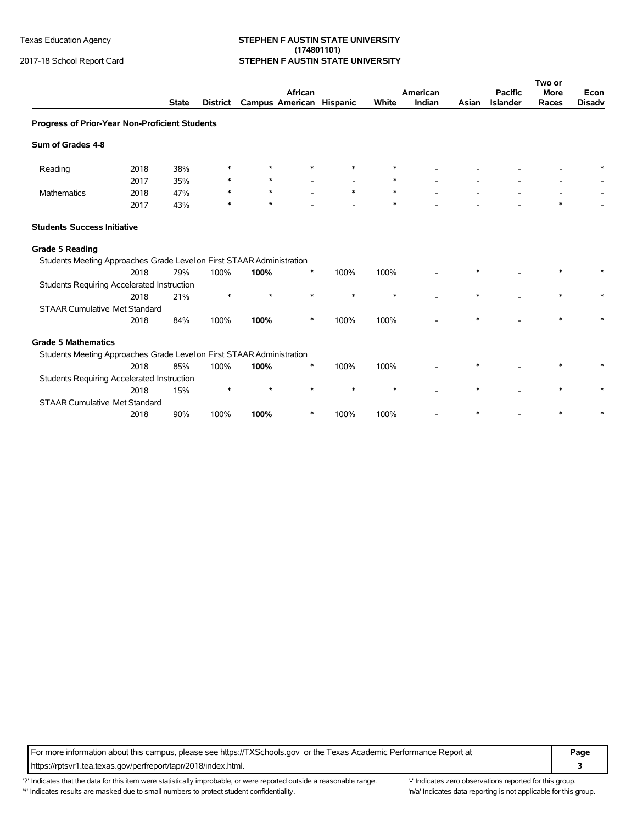#### Texas Education Agency **STEPHEN F AUSTIN STATE UNIVERSITY (174801101)** 2017-18 School Report Card **STEPHEN F AUSTIN STATE UNIVERSITY**

|                                                                       |      |              |                 |                          |         |        |        |                    |        |                                   | Two or               |                       |
|-----------------------------------------------------------------------|------|--------------|-----------------|--------------------------|---------|--------|--------|--------------------|--------|-----------------------------------|----------------------|-----------------------|
|                                                                       |      | <b>State</b> | <b>District</b> | Campus American Hispanic | African |        | White  | American<br>Indian | Asian  | <b>Pacific</b><br><b>Islander</b> | <b>More</b><br>Races | Econ<br><b>Disadv</b> |
| Progress of Prior-Year Non-Proficient Students                        |      |              |                 |                          |         |        |        |                    |        |                                   |                      |                       |
| Sum of Grades 4-8                                                     |      |              |                 |                          |         |        |        |                    |        |                                   |                      |                       |
| Reading                                                               | 2018 | 38%          | *               | $\star$                  |         | $\ast$ | $\ast$ |                    |        |                                   |                      |                       |
|                                                                       | 2017 | 35%          | $\ast$          | $\star$                  |         |        | ∗      |                    |        |                                   |                      |                       |
| <b>Mathematics</b>                                                    | 2018 | 47%          | $\ast$          | $\star$                  |         | $\ast$ | $\ast$ |                    |        |                                   |                      |                       |
|                                                                       | 2017 | 43%          | *               | $\star$                  |         |        | $\ast$ |                    |        |                                   | $\ast$               |                       |
| <b>Students Success Initiative</b>                                    |      |              |                 |                          |         |        |        |                    |        |                                   |                      |                       |
| <b>Grade 5 Reading</b>                                                |      |              |                 |                          |         |        |        |                    |        |                                   |                      |                       |
| Students Meeting Approaches Grade Level on First STAAR Administration |      |              |                 |                          |         |        |        |                    |        |                                   |                      |                       |
|                                                                       | 2018 | 79%          | 100%            | 100%                     | $\ast$  | 100%   | 100%   |                    |        |                                   |                      |                       |
| <b>Students Requiring Accelerated Instruction</b>                     |      |              |                 |                          |         |        |        |                    |        |                                   |                      |                       |
|                                                                       | 2018 | 21%          | $\ast$          | $\star$                  | $\ast$  | $\ast$ | $\ast$ |                    | $\ast$ |                                   | $\ast$               |                       |
| <b>STAAR Cumulative Met Standard</b>                                  |      |              |                 |                          |         |        |        |                    |        |                                   |                      |                       |
|                                                                       | 2018 | 84%          | 100%            | 100%                     | $\ast$  | 100%   | 100%   |                    | $\ast$ |                                   | $\ast$               |                       |
| <b>Grade 5 Mathematics</b>                                            |      |              |                 |                          |         |        |        |                    |        |                                   |                      |                       |
| Students Meeting Approaches Grade Level on First STAAR Administration |      |              |                 |                          |         |        |        |                    |        |                                   |                      |                       |
|                                                                       | 2018 | 85%          | 100%            | 100%                     | ∗       | 100%   | 100%   |                    |        |                                   |                      |                       |
| Students Requiring Accelerated Instruction                            |      |              |                 |                          |         |        |        |                    |        |                                   |                      |                       |
|                                                                       | 2018 | 15%          | $\ast$          | $\star$                  | $\ast$  | $\ast$ | $\ast$ |                    |        |                                   |                      |                       |
| <b>STAAR Cumulative Met Standard</b>                                  |      |              |                 |                          |         |        |        |                    |        |                                   |                      |                       |
|                                                                       | 2018 | 90%          | 100%            | 100%                     | ∗       | 100%   | 100%   |                    |        |                                   |                      |                       |

For more information about this campus, please see https://TXSchools.gov or the Texas Academic Performance Report at **Page** https://rptsvr1.tea.texas.gov/perfreport/tapr/2018/index.html. **3**

'?' Indicates that the data for this item were statistically improbable, or were reported outside a reasonable range. "Indicates zero observations reported for this group. '\*' Indicates results are masked due to small numbers to protect student confidentiality. Mother this invariant to the this group.